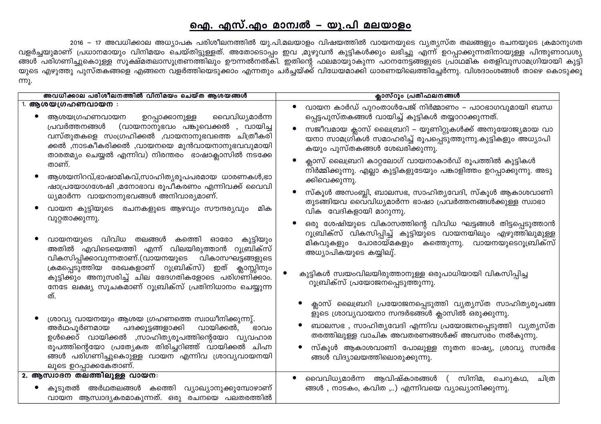## ഐ. എസ്.എം മാന്വൽ – യു.പി മലയാളം

2016 – 17 അവധിക്കാല അധ്യാപക പരിശീലനത്തിൽ യു.പി.മലയാളം വിഷയത്തിൽ വായനയുടെ വ്യത്യസ്ത തലങ്ങളും രചനയുടെ ക്രമാനുഗത വളർച്ചയുമാണ് പ്രധാനമായും വിനിമയം ചെയ്തിട്ടുള്ളത്. അതോടൊപ്പം ഇവ ,മുഴുവൻ കുട്ടികൾക്കും ലഭിച്ചു എന്ന് ഉറപ്പാക്കുന്നതിനായുള്ള പിന്തുണാവശ്യ യുടെ എഴുത്തു പുസ്തകങ്ങളെ എങ്ങനെ വളർത്തിയെടുക്കാം എന്നതും ചർച്ചയ്ക്ക് വിധേയമാക്കി ധാരണയിലെത്തിച്ചേർന്നു. വിശദാംശങ്ങൾ താഴെ കൊടുക്കു ന്നു.

| അവധിക്കാല പരിശീലനത്തിൽ വിനിമയം ചെയ്ത ആശയങ്ങൾ                                                                                                                                                                                                                                          | ക്ലാസ്റൂം പ്രതിഫലനങ്ങൾ                                                                                                                                     |
|---------------------------------------------------------------------------------------------------------------------------------------------------------------------------------------------------------------------------------------------------------------------------------------|------------------------------------------------------------------------------------------------------------------------------------------------------------|
| 1. ആശയഗ്രഹണവായന :<br>വൈവിധ്യമാർന്ന<br>ഉറപ്പാക്കാനുള്ള<br>ആശയഗ്രഹണവായന<br>പ്രവർത്തനങ്ങൾ<br>(വായനാനുഭവം പങ്കുവെക്കൽ , വായിച്ച<br>വസ്തുതകളെ സംഗ്രഹിക്കൽ ,വായനാനുഭവത്തെ ചിത്രീകരി<br>ക്കൽ ,നാടകീകരിക്കൽ ,വായനയെ മുൻവായനാനുഭവവുമായി<br>താരതമ്യം ചെയ്യൽ എന്നിവ) നിരന്തരം ഭാഷാക്ലാസിൽ നടക്കേ | വായന കാർഡ് പുറംതാൾപേജ് നിർമ്മാണം – പാഠഭാഗവുമായി ബന്ധ<br>പ്പെട്ടപുസ്തകങ്ങൾ വായിച്ച് കുട്ടികൾ തയ്യാറാക്കുന്നത്.                                              |
|                                                                                                                                                                                                                                                                                       | സജീവമായ ക്ലാസ് ലൈബ്രറി – യൂണിറ്റുകൾക്ക് അനുയോജ്യമായ വാ<br>യനാ സാമഗ്രി്കൾ സമാഹരിച്ച് രൂപപ്പെടുത്തുന്നു.കുട്ടികളും അധ്യാപി<br>കയും പുസ്തകങ്ങൾ ശേഖരിക്കുന്നു. |
| താണ്.<br>ആശയനിറവ്,ഭാഷാമികവ്,സാഹിത്യരൂപപരമായ ധാരണകൾ,ഭാ                                                                                                                                                                                                                                 | ക്ലാസ് ലൈബ്രറി കാറ്റലോഗ് വായനാകാർഡ് രൂപത്തിൽ കുട്ടികൾ<br>നിർമ്മിക്കുന്നു. എല്ലാ കുട്ടികളുടേയും പങ്കാളിത്തം ഉറപ്പാക്കുന്നു. അടു                             |
| ഷാപ്രയോഗശേഷി ,മനോഭാവ രൂപീകരണം എന്നിവക്ക് വൈവി<br>ധ്യമാർന്ന വായനാനുഭവങ്ങൾ അനിവാര്യമാണ്.                                                                                                                                                                                                | ക്കിവെക്കുന്നു.<br>സ്കൂൾ അസംബ്ലി, ബാലസഭ, സാഹിത്യവേദി, സ്കൂൾ ആകാശവാണി<br>തുടങ്ങിയവ വൈവിധ്യമാർന്ന ഭാഷാ പ്രവർത്തനങ്ങൾക്കുള്ള സ്വാഭാ                           |
| വായന കുട്ടിയുടെ<br>രചനകളുടെ ആഴവും സൗന്ദര്യവും<br>മിക<br>വുറ്റതാക്കുന്നു.                                                                                                                                                                                                              | വിക വേദികളായി മാറുന്നു.<br>ഒരു ശേഷിയുടെ വികാസത്തിന്റെ വിവിധ ഘട്ടങ്ങൾ തിട്ടപ്പെടുത്താൻ<br>റൂബ്രിക്സ് വികസിപ്പിച്ച് കുട്ടിയുടെ വായനയിലും എഴുത്തിലുമുള്ള      |
| വായനയുടെ വിവിധ തലങ്ങൾ കത്തെി ഓരോ<br>കുട്ടിയും<br>അതിൽ എവിടെയെത്തി എന്ന് വിലയിരുത്താൻ റൂബ്രിക്സ്<br>വികസിപ്പിക്കാവുന്നതാണ്.(വായനയുടെ വികാസഘട്ടങ്ങളുടെ                                                                                                                                  | മികവുകളും പോരായ്മകളും കത്തുെന്നു. വായനയുടെറൂബ്രിക്സ്<br>അധ്യാപികയുടെ കയ്യിലു്.                                                                             |
| ക്രമപ്പെടുത്തിയ രേഖകളാണ് റൂബ്രിക്സ്) ഇത് ക്ലാസ്സിനും<br>കുട്ടിക്കും അനുസരിച്ച് ചില ഭേദഗതികളോടെ പരിഗ്ണിക്കാം.<br>നേടേ ലക്ഷ്യ സൂചകമാണ് റൂബ്രിക്സ് പ്രതിനിധാനം ചെയ്യുന്ന<br>ത്.                                                                                                          | കുട്ടികൾ സ്വയംവിലയിരുത്താനുള്ള ഒരുപാധിയായി വികസിപ്പിച്ച<br>റൂബ്രിക്സ് പ്രയോജനപ്പെടുത്തുന്നു.                                                               |
| ശ്രാവ്യ വായനയും ആശയ ഗ്രഹണത്തെ സ്വാധീനിക്കുന്നു്.                                                                                                                                                                                                                                      | ക്ലാസ് ലൈബ്രറി പ്രയോജനപ്പെടുത്തി വ്യത്യസ്ത സാഹിത്യരൂപങ്ങ<br>ളുടെ ശ്രാവ്യവായനാ സന്ദർഭങ്ങൾ ക്ലാസിൽ ഒരുക്കുന്നു.                                              |
| വായിക്കൽ,<br>അർഥപൂർണമായ<br>പദക്കൂട്ടങ്ങളാക്കി<br>ഭാവം<br>ഉൾക്കൊ് വായിക്കൽ ,സാഹിത്യരൂപത്തിന്റെയോ വ്യവഹാര                                                                                                                                                                               | ബാലസഭ , സാഹിതൃവേദി എന്നിവ പ്രയോജനപ്പെടുത്തി  വൃതൃസ്ത<br>തരത്തിലുള്ള വാചിക അവതരണങ്ങൾക്ക് അവസരം നൽകുന്നു.                                                    |
| രൂപത്തിന്റെയോ പ്രത്യേകത തിരിച്ചറിഞ്ഞ് വായിക്കൽ ചിഹ്ന<br>ങ്ങൾ പരിഗണിച്ചുകൊുള്ള വായന എന്നിവ ശ്രാവ്യവായനയി<br>ലൂടെ ഉറപ്പാക്കകേതാണ്.                                                                                                                                                      | സ്കൂൾ ആകാശവാണി പോലുള്ള നൂതന ഭാഷ്യ, ശ്രാവ്യ സന്ദർഭ<br>ങ്ങൾ വിദ്യാലയത്തിലൊരുക്കുന്നു.                                                                        |
| 2. ആസ്വാദന തലത്തിലുള്ള വായന:                                                                                                                                                                                                                                                          | വൈവിധ്യമാർന്ന ആവിഷ്കാരങ്ങൾ ( സിനിമ, ചെറുകഥ,<br>ചിത്ര                                                                                                       |
| കൂടുതൽ അർഥതലങ്ങൾ കത്തെി വ്യാഖ്യാനുക്കുമ്പോഴാണ്<br>വായന ആസ്വാദ്യകരമാകുന്നത്. ഒരു രചനയെ പലതരത്തിൽ                                                                                                                                                                                       | ങ്ങൾ , നാടകം, കവിത ,) എന്നിവയെ വ്യാഖ്യാനിക്കുന്നു.                                                                                                         |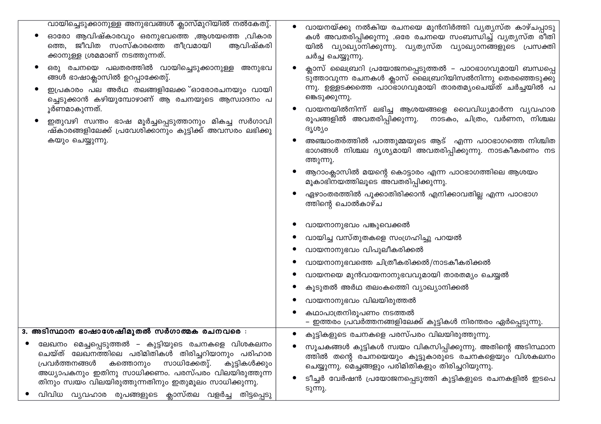| വായിച്ചെടുക്കാനുള്ള അനുഭവങ്ങൾ ക്ലാസ്മുറിയിൽ നൽകേതു്.<br>ഓരോ ആവിഷ്കാരവും ഒരനുഭവത്തെ ,ആശയത്തെ ,വികാര<br>ത്തെ, ജീവിത സംസ്കാരത്തെ തീവ്രമായി<br>ആവിഷ്കരി<br>ക്കാനുള്ള ശ്രമമാണ് നടത്തുന്നത്.                                                                                                                                                             | വായനയ്ക്കു നൽകിയ രചനയെ മുൻനിർത്തി വ്യത്യസ്ത കാഴ്ചപ്പാടു<br>കൾ അവതരിപ്പിക്കുന്നു .ഒരേ രചനയെ സംബന്ധിച്ച് വ്യത്യസ്ത രീതി<br>യിൽ വ്യാഖ്യാനിക്കുന്നു. വ്യത്യസ്ത വ്യാഖ്യാനങ്ങളുടെ പ്രസക്തി<br>ചർച്ച ചെയ്യുന്നു.                                                                                                                                                                                                                                                                                                                                                                                                                                           |
|----------------------------------------------------------------------------------------------------------------------------------------------------------------------------------------------------------------------------------------------------------------------------------------------------------------------------------------------------|-----------------------------------------------------------------------------------------------------------------------------------------------------------------------------------------------------------------------------------------------------------------------------------------------------------------------------------------------------------------------------------------------------------------------------------------------------------------------------------------------------------------------------------------------------------------------------------------------------------------------------------------------------|
| ഒരു രചനയെ പലതരത്തിൽ വായിച്ചെടുക്കാനുള്ള അനുഭവ<br>ങ്ങൾ ഭാഷാക്ലാസിൽ ഉറപ്പാക്കേതു്.<br>ഇപ്രകാരം പല അർഥ തലങ്ങളിലേക്ക <b>്ഓരോരചനയും വായി</b><br>ച്ചെടുക്കാൻ കഴിയുമ്പോഴാണ് ആ രചനയുടെ ആസ്വാദനം പ<br>ൂർണമാകുന്നത്.<br>ഇതുവഴി സ്വന്തം ഭാഷ മൂർച്ചപ്പെടുത്താനും മികച്ച സർഗാവി<br>ഷ്കാരങ്ങളിലേക്ക് പ്രവേശിക്കാനും കുട്ടിക്ക് അവസരം ലഭിക്കു<br>കയും ചെയ്യുന്നു. | ക്ലാസ് ലൈബ്രറി പ്രയോജനപ്പെടുത്തൽ – പാഠഭാഗവുമായി ബന്ധപ്പെ<br>ടുത്താവുന്ന രചനകൾ ക്ലാസ് ലൈബ്രറിയിസൽനിന്നു തെരഞ്ഞെടുക്കു<br>ന്നു. ഉള്ളടക്കത്തെ പാഠഭാഗവുമായി താരതമ്യംചെയ്ത് ചർച്ചയിൽ പ<br>ങ്കെടുക്കുന്നു.<br>വായനയിൽനിന്ന് ലഭിച്ച ആശയങ്ങളെ വൈവിധ്യമാർന്ന വ്യവഹാര<br>രൂപങ്ങളിൽ അവതരിപ്പിക്കുന്നു.<br>നാടകം, ചിത്രം, വർണന, നിശ്ചല<br>ദൃശ്യം<br>അഞ്ചാംതരത്തിൽ പാത്തുമ്മയുടെ ആട് എന്ന പാഠഭാഗത്തെ നിശ്ചിത<br>ഭാഗങ്ങൾ നിശ്ചല ദൃശ്യമായി അവതരിപ്പിക്കുന്നു. നാടകീകരണം നട<br>ത്തുന്നു.<br>ആറാംക്ലാസിൽ മയന്റെ കൊട്ടാരം എന്ന പാഠഭാഗത്തിലെ ആശയം<br>മൂകാഭിനയത്തിലൂടെ അവതരിപ്പിക്കുന്നു.<br>ഏഴാംതരത്തിൽ പൂക്കാതിരിക്കാൻ എനിക്കാവതില്ല എന്ന പാഠഭാഗ<br>ത്തിന്റെ ചൊൽകാഴ്ച |
|                                                                                                                                                                                                                                                                                                                                                    | വായനാനുഭവം പങ്കുവെക്കൽ<br>വായിച്ച വസ്തുതകളെ സംഗ്രഹിച്ചു പറയൽ<br>വായനാനുഭവം വിപുലീകരിക്കൽ<br>വായനാനുഭവത്തെ ചിത്രീകരിക്കൽ/നാടകീകരിക്കൽ<br>വായനയെ മുൻവായനാനുഭവവുമായി താരതമ്യം ചെയ്യൽ<br>കൂടുതൽ അർഥ തലംകത്തെി വ്യാഖ്യാനിക്കൽ<br>വായനാനുഭവം വിലയിരുത്തൽ<br>കഥാപാത്രനിരൂപണം നടത്തൽ<br>– ഇത്തരം പ്രവർത്തനങ്ങളിലേക്ക് കുട്ടികൾ നിരന്തരം ഏർപ്പെടുന്നു.                                                                                                                                                                                                                                                                                                       |
| 3. അടിസ്ഥാന ഭാഷാശേഷിമുതൽ സർഗാത്മക രചനവരെ :                                                                                                                                                                                                                                                                                                         | കുട്ടികളുടെ രചനകളെ പരസ്പരം വിലയിരുത്തുന്നു.                                                                                                                                                                                                                                                                                                                                                                                                                                                                                                                                                                                                         |
| ലേഖനം മെച്ചപ്പെടുത്തൽ – കുട്ടിയുടെ രചനകളെ വിശകലനം<br>ചെയ്ത് ലേഖനത്തിലെ പരിമിതികൾ തിരിച്ചറിയാനും പരിഹാര<br>പ്രവർത്തനങ്ങൾ<br>കത്തൊനും സാധിക്കേതു്.<br>കുട്ടികൾക്കും<br>അധ്യാപകനും ഇതിനു സാധിക്കണം. പരസ്പരം വിലയിരുത്തുന്ന<br>തിനും സ്വയം വിലയിരുത്തുന്നതിനും ഇതുമൂലം സാധിക്കുന്നു.<br>വിവിധ വ്യവഹാര രുപങ്ങളുടെ ക്ലാസ്തല വളർച്ച തിട്ടപ്പെടു           | സൂചകങ്ങൾ കുട്ടികൾ സ്വയം വികസിപ്പിക്കുന്നു. അതിന്റെ അടിസ്ഥാന<br>ത്തിൽ തന്റെ രചനയെയും കൂട്ടുകാരുടെ രചനകളെയും വിശകലനം<br>ചെയ്യുന്നു. മെച്ചങ്ങളും പരിമിതികളും തിരിച്ചറിയുന്നു.<br>ടീച്ചർ വേർഷൻ പ്രയോജനപ്പെടുത്തി കുട്ടികളുടെ രചനകളിൽ ഇടപെ<br>ടുന്നു.                                                                                                                                                                                                                                                                                                                                                                                                    |